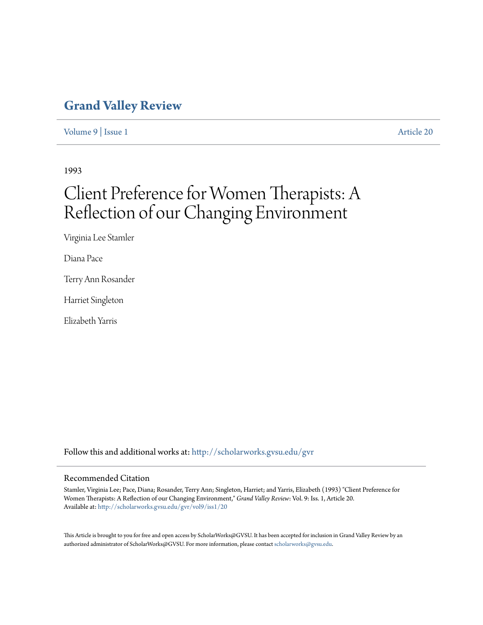## **[Grand Valley Review](http://scholarworks.gvsu.edu/gvr?utm_source=scholarworks.gvsu.edu%2Fgvr%2Fvol9%2Fiss1%2F20&utm_medium=PDF&utm_campaign=PDFCoverPages)**

[Volume 9](http://scholarworks.gvsu.edu/gvr/vol9?utm_source=scholarworks.gvsu.edu%2Fgvr%2Fvol9%2Fiss1%2F20&utm_medium=PDF&utm_campaign=PDFCoverPages) | [Issue 1](http://scholarworks.gvsu.edu/gvr/vol9/iss1?utm_source=scholarworks.gvsu.edu%2Fgvr%2Fvol9%2Fiss1%2F20&utm_medium=PDF&utm_campaign=PDFCoverPages) [Article 20](http://scholarworks.gvsu.edu/gvr/vol9/iss1/20?utm_source=scholarworks.gvsu.edu%2Fgvr%2Fvol9%2Fiss1%2F20&utm_medium=PDF&utm_campaign=PDFCoverPages)

1993

# Client Preference for Women Therapists: A Reflection of our Changing Environment

Virginia Lee Stamler

Diana Pace

Terry Ann Rosander

Harriet Singleton

Elizabeth Yarris

Follow this and additional works at: [http://scholarworks.gvsu.edu/gvr](http://scholarworks.gvsu.edu/gvr?utm_source=scholarworks.gvsu.edu%2Fgvr%2Fvol9%2Fiss1%2F20&utm_medium=PDF&utm_campaign=PDFCoverPages)

#### Recommended Citation

Stamler, Virginia Lee; Pace, Diana; Rosander, Terry Ann; Singleton, Harriet; and Yarris, Elizabeth (1993) "Client Preference for Women Therapists: A Reflection of our Changing Environment," *Grand Valley Review*: Vol. 9: Iss. 1, Article 20. Available at: [http://scholarworks.gvsu.edu/gvr/vol9/iss1/20](http://scholarworks.gvsu.edu/gvr/vol9/iss1/20?utm_source=scholarworks.gvsu.edu%2Fgvr%2Fvol9%2Fiss1%2F20&utm_medium=PDF&utm_campaign=PDFCoverPages)

This Article is brought to you for free and open access by ScholarWorks@GVSU. It has been accepted for inclusion in Grand Valley Review by an authorized administrator of ScholarWorks@GVSU. For more information, please contact [scholarworks@gvsu.edu.](mailto:scholarworks@gvsu.edu)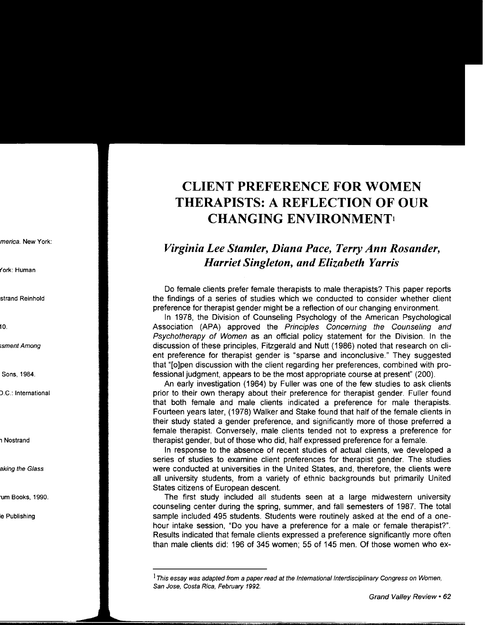## **CLIENT PREFERENCE FOR WOMEN THERAPISTS: A REFLECTION OF OUR CHANGING ENVIRONMENT!**

### *Virginia Lee Stamler, Diana Pace, Terry Ann Rosander, Harriet Singleton, and Elizabeth Yarris*

Do female clients prefer female therapists to male therapists? This paper reports the findings of a series of studies which we conducted to consider whether client preference for therapist gender might be a reflection of our changing environment.

In 1978, the Division of Counseling Psychology of the American Psychological Association (APA) approved the Principles Concerning the Counseling and Psychotherapy of Women as an official policy statement for the Division. In the discussion of these principles, Fitzgerald and Nutt (1986) noted that research on client preference for therapist gender is "sparse and inconclusive." They suggested that "[o]pen discussion with the client regarding her preferences, combined with professional judgment, appears to be the most appropriate course at present" (200).

An early investigation ( 1964) by Fuller was one of the few studies to ask clients prior to their own therapy about their preference for therapist gender. Fuller found that both female and male clients indicated a preference for male therapists. Fourteen years later, (1978) Walker and Stake found that half of the female clients in their study stated a gender preference, and significantly more of those preferred a female therapist. Conversely, male clients tended not to express a preference for therapist gender, but of those who did, half expressed preference for a female.

In response to the absence of recent studies of actual clients, we developed a series of studies to examine client preferences for therapist gender. The studies were conducted at universities in the United States, and, therefore, the clients were all university students, from a variety of ethnic backgrounds but primarily United States citizens of European descent.

The first study included all students seen at a large midwestern university counseling center during the spring, summer, and fall semesters of 1987. The total sample included 495 students. Students were routinely asked at the end of a onehour intake session, "Do you have a preference for a male or female therapist?". Results indicated that female clients expressed a preference significantly more often than male clients did: 196 of 345 women; 55 of 145 men. Of those women who ex-

 $1$ This essay was adapted from a paper read at the International Interdisciplinary Congress on Women, San Jose, Costa Rica, February 1992.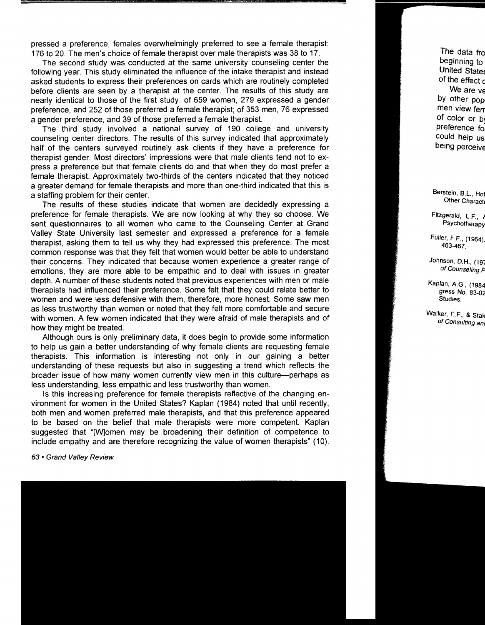pressed a preference, females overwhelmingly preferred to see a female therapist: 176 to 20. The men's choice of female therapist over male therapists was 38 to 17.

The second study was conducted at the same university counseling center the following year. This study eliminated the influence of the intake therapist and instead asked students to express their preferences on cards which are routinely completed before clients are seen by a therapist at the center. The results of this study are nearly identical to those of the first study: of 659 women, 279 expressed a gender preference, and 252 of those preferred a female therapist; of 353 men, 76 expressed a gender preference, and 39 of those preferred a female therapist.

The third study involved a national survey of 190 college and university counseling center directors. The results of this survey indicated that approximately half of the centers surveyed routinely ask clients if they have a preference for therapist gender. Most directors' impressions were that male clients tend not to express a preference but that female clients do and that when they do most prefer a female therapist. Approximately two-thirds of the centers indicated that they noticed a greater demand for female therapists and more than one-third indicated that this is a staffing problem for their center.

The results of these studies indicate that women are decidedly expressing a preference for female therapists. We are now looking at why they so choose. We sent questionnaires to all women who came to the Counseling Center at Grand Valley State University last semester and expressed a preference for a female therapist, asking them to tell us why they had expressed this preference. The most common response was that they felt that women would better be able to understand their concerns. They indicated that because women experience a greater range of emotions, they are more able to be empathic and to deal with issues in greater depth. A number of these students noted that previous experiences with men or male therapists had influenced their preference. Some felt that they could relate better to women and were less defensive with them, therefore, more honest. Some saw men as less trustworthy than women or noted that they felt more comfortable and secure with women. A few women indicated that they were afraid of male therapists and of how they might be treated.

Although ours is only preliminary data, it does begin to provide some information to help us gain a better understanding of why female clients are requesting female therapists. This information is interesting not only in our gaining a better understanding of these requests but also in suggesting a trend which reflects the broader issue of how many women currently view men in this culture-perhaps as less understanding, less empathic and less trustworthy than women.

Is this increasing preference for female therapists reflective of the changing environment for women in the United States? Kaplan (1984) noted that until recently, both men and women preferred male therapists, and that this preference appeared to be based on the belief that male therapists were more competent. Kaplan suggested that "[W]omen may be broadening their definition of competence to include empathy and are therefore recognizing the value of women therapists" (10).